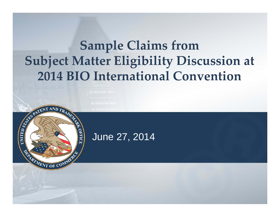## **Sample Claims from Subject Matter Eligibility Discussion at 2014 BIO International Convention**



SEPATENT AND TRAD

MENT OF C

PFICI

UNITED STA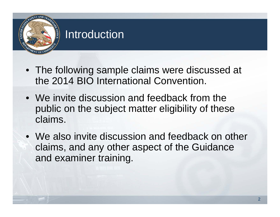# **OFFIC**

#### Introduction

- The following sample claims were discussed at the 2014 BIO International Convention.
- We invite discussion and feedback from the public on the subject matter eligibility of these claims.
- We also invite discussion and feedback on other claims, and any other aspect of the Guidance and examiner training.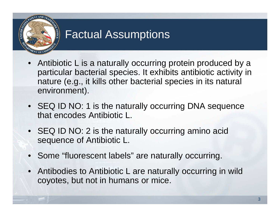

### Factual Assumptions

- Antibiotic L is a naturally occurring protein produced by a particular bacterial species. It exhibits antibiotic activity in nature (e.g., it kills other bacterial species in its natural environment).
- SEQ ID NO: 1 is the naturally occurring DNA sequence that encodes Antibiotic L.
- SEQ ID NO: 2 is the naturally occurring amino acid sequence of Antibiotic L.
- Some "fluorescent labels" are naturally occurring.
- Antibodies to Antibiotic L are naturally occurring in wild coyotes, but not in humans or mice.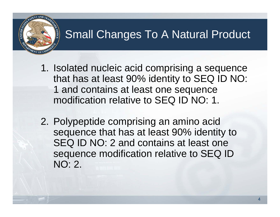### Small Changes To A Natural Product

- 1. Isolated nucleic acid comprising a sequence that has at least 90% identity to SEQ ID NO: 1 and contains at least one sequence modification relative to SEQ ID NO: 1.
- 2. Polypeptide comprising an amino acid sequence that has at least 90% identity to SEQ ID NO: 2 and contains at least one sequence modification relative to SEQ ID NO: 2.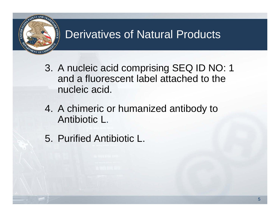

### Derivatives of Natural Products

- 3. A nucleic acid comprising SEQ ID NO: 1 and a fluorescent label attached to the nucleic acid.
- 4. A chimeric or humanized antibody to Antibiotic L.
- 5. Purified Antibiotic L.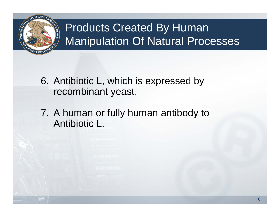

## Products Created By Human Manipulation Of Natural Processes

- 6. Antibiotic L, which is expressed by recombinant yeast.
- 7. A human or fully human antibody to Antibiotic L.